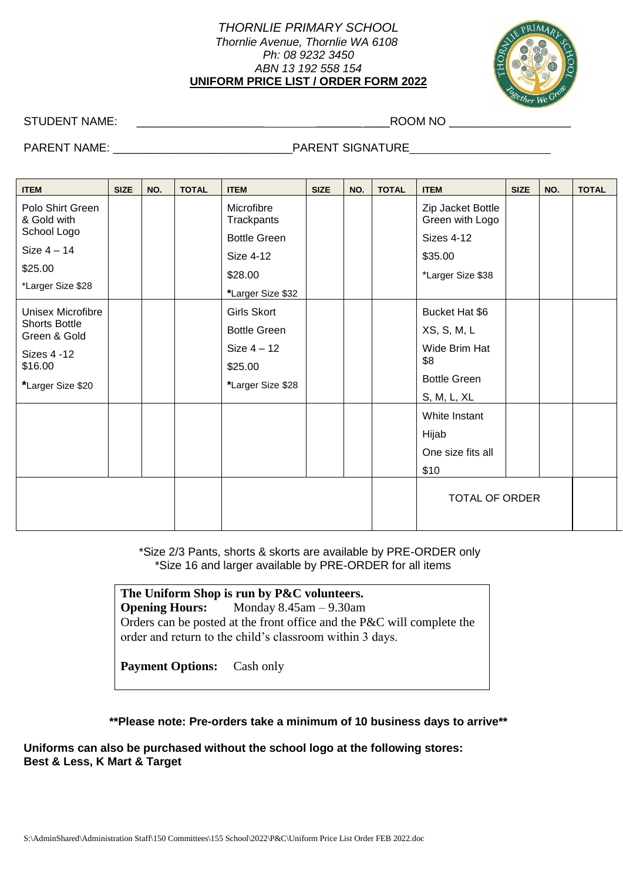## *THORNLIE PRIMARY SCHOOL Thornlie Avenue, Thornlie WA 6108 Ph: 08 9232 3450 ABN 13 192 558 154* **UNIFORM PRICE LIST / ORDER FORM 2022**



STUDENT NAME: \_\_\_\_\_\_\_\_\_\_\_\_\_\_\_\_\_\_\_\_ \_\_\_\_\_\_\_ \_\_\_\_ROOM NO \_\_\_\_\_\_\_\_\_\_\_\_\_\_\_\_\_\_\_

## PARENT NAME: \_\_\_\_\_\_\_\_\_\_\_\_\_\_\_\_\_\_\_\_\_\_\_\_\_\_\_\_PARENT SIGNATURE

| <b>ITEM</b>                                                                                               | <b>SIZE</b> | NO. | <b>TOTAL</b> | <b>ITEM</b>                                                                              | <b>SIZE</b> | NO. | <b>TOTAL</b> | <b>ITEM</b>                                                                                                                                        | <b>SIZE</b> | NO. | <b>TOTAL</b> |
|-----------------------------------------------------------------------------------------------------------|-------------|-----|--------------|------------------------------------------------------------------------------------------|-------------|-----|--------------|----------------------------------------------------------------------------------------------------------------------------------------------------|-------------|-----|--------------|
| Polo Shirt Green<br>& Gold with<br>School Logo                                                            |             |     |              | Microfibre<br>Trackpants                                                                 |             |     |              | Zip Jacket Bottle<br>Green with Logo                                                                                                               |             |     |              |
| Size $4-14$<br>\$25.00<br>*Larger Size \$28                                                               |             |     |              | <b>Bottle Green</b><br>Size 4-12<br>\$28.00<br>*Larger Size \$32                         |             |     |              | <b>Sizes 4-12</b><br>\$35.00<br>*Larger Size \$38                                                                                                  |             |     |              |
| Unisex Microfibre<br><b>Shorts Bottle</b><br>Green & Gold<br>Sizes 4 - 12<br>\$16.00<br>*Larger Size \$20 |             |     |              | <b>Girls Skort</b><br><b>Bottle Green</b><br>Size $4-12$<br>\$25.00<br>*Larger Size \$28 |             |     |              | Bucket Hat \$6<br>XS, S, M, L<br>Wide Brim Hat<br>\$8<br><b>Bottle Green</b><br>S, M, L, XL<br>White Instant<br>Hijab<br>One size fits all<br>\$10 |             |     |              |
|                                                                                                           |             |     |              |                                                                                          |             |     |              | <b>TOTAL OF ORDER</b>                                                                                                                              |             |     |              |

 \*Size 2/3 Pants, shorts & skorts are available by PRE-ORDER only \*Size 16 and larger available by PRE-ORDER for all items

## **The Uniform Shop is run by P&C volunteers.**

**Opening Hours:** Monday 8.45am – 9.30am Orders can be posted at the front office and the P&C will complete the order and return to the child's classroom within 3 days.

**Payment Options:** Cash only

**\*\*Please note: Pre-orders take a minimum of 10 business days to arrive\*\***

**Uniforms can also be purchased without the school logo at the following stores: Best & Less, K Mart & Target**